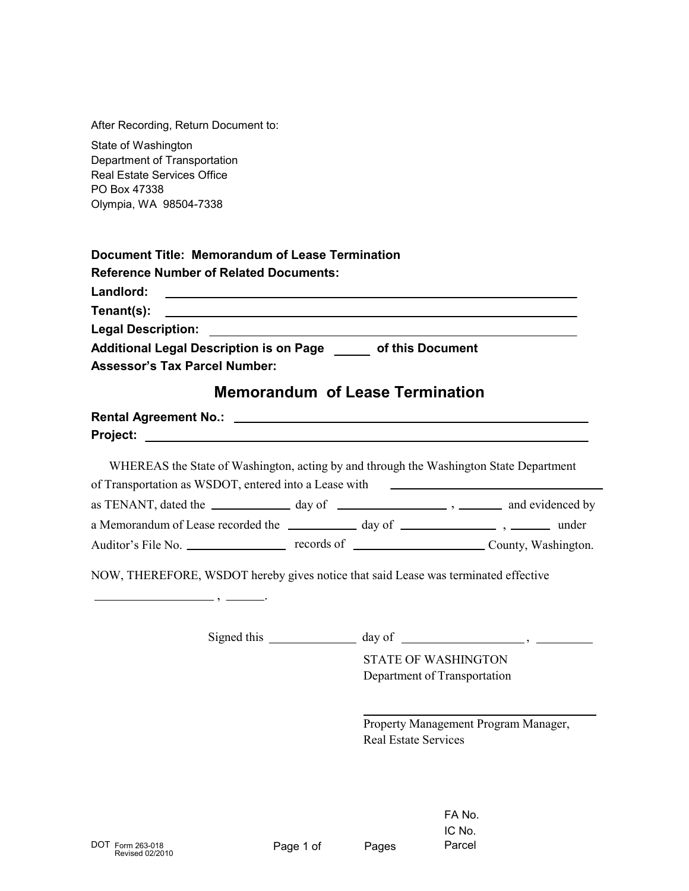After Recording, Return Document to:

State of Washington Department of Transportation Real Estate Services Office PO Box 47338 Olympia, WA 98504-7338

| Document Title: Memorandum of Lease Termination                                                                                    |
|------------------------------------------------------------------------------------------------------------------------------------|
| <b>Reference Number of Related Documents:</b>                                                                                      |
| Landlord:<br><u> 1989 - John Harry Harry Harry Harry Harry Harry Harry Harry Harry Harry Harry Harry Harry Harry Harry Harry H</u> |
| Tenant(s): <u>___________________________________</u>                                                                              |
| Legal Description: __________________________                                                                                      |
| Additional Legal Description is on Page of this Document<br><b>Assessor's Tax Parcel Number:</b>                                   |
| <b>Memorandum of Lease Termination</b>                                                                                             |

## **Rental Agreement No.: Project:**

WHEREAS the State of Washington, acting by and through the Washington State Department as TENANT, dated the \_\_\_\_\_\_\_\_\_\_\_\_\_\_ day of \_\_\_\_\_\_\_\_\_\_\_\_\_\_\_\_\_\_\_\_\_\_, \_\_\_\_\_\_\_\_\_ and evidenced by a Memorandum of Lease recorded the \_\_\_\_\_\_\_\_\_\_\_\_\_ day of \_\_\_\_\_\_\_\_\_\_\_\_\_\_\_\_\_\_\_\_\_, \_\_\_\_\_\_\_\_\_ under Auditor's File No. records of County, Washington. of Transportation as WSDOT, entered into a Lease with

NOW, THEREFORE, WSDOT hereby gives notice that said Lease was terminated effective

Signed this \_\_\_\_\_\_\_\_\_\_\_\_\_\_\_\_ day of \_\_\_\_\_\_\_\_\_\_\_\_\_\_\_\_\_\_\_\_\_\_,

 $-$ ,  $-$ 

STATE OF WASHINGTON Department of Transportation

Property Management Program Manager, Real Estate Services